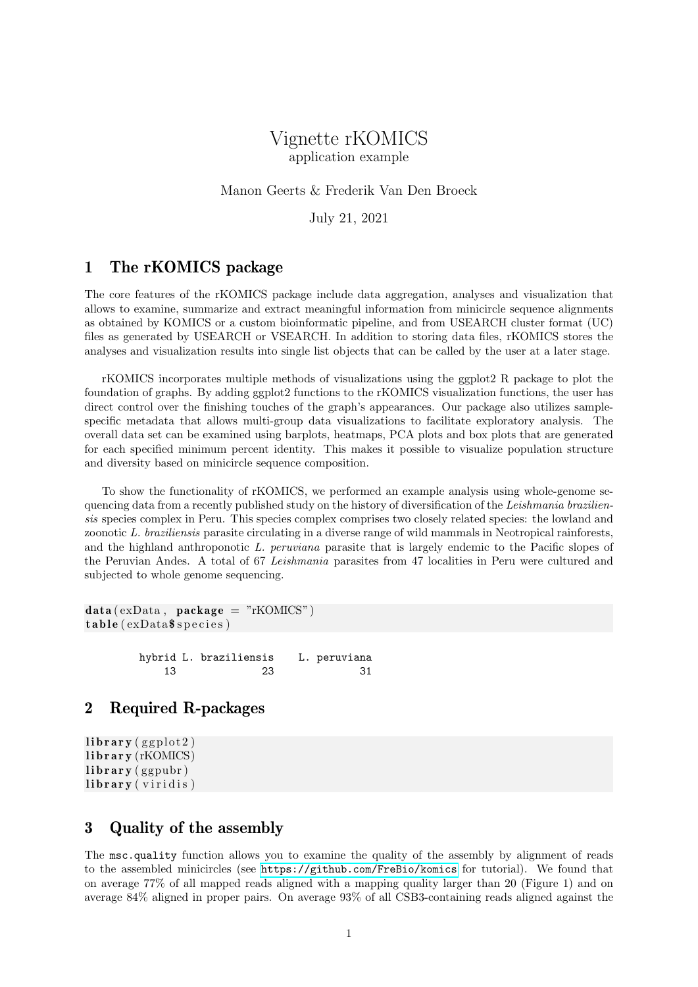# Vignette rKOMICS application example

#### Manon Geerts & Frederik Van Den Broeck

July 21, 2021

#### 1 The rKOMICS package

The core features of the rKOMICS package include data aggregation, analyses and visualization that allows to examine, summarize and extract meaningful information from minicircle sequence alignments as obtained by KOMICS or a custom bioinformatic pipeline, and from USEARCH cluster format (UC) files as generated by USEARCH or VSEARCH. In addition to storing data files, rKOMICS stores the analyses and visualization results into single list objects that can be called by the user at a later stage.

rKOMICS incorporates multiple methods of visualizations using the ggplot2 R package to plot the foundation of graphs. By adding ggplot2 functions to the rKOMICS visualization functions, the user has direct control over the finishing touches of the graph's appearances. Our package also utilizes samplespecific metadata that allows multi-group data visualizations to facilitate exploratory analysis. The overall data set can be examined using barplots, heatmaps, PCA plots and box plots that are generated for each specified minimum percent identity. This makes it possible to visualize population structure and diversity based on minicircle sequence composition.

To show the functionality of rKOMICS, we performed an example analysis using whole-genome sequencing data from a recently published study on the history of diversification of the Leishmania braziliensis species complex in Peru. This species complex comprises two closely related species: the lowland and zoonotic L. braziliensis parasite circulating in a diverse range of wild mammals in Neotropical rainforests, and the highland anthroponotic L. peruviana parasite that is largely endemic to the Pacific slopes of the Peruvian Andes. A total of 67 Leishmania parasites from 47 localities in Peru were cultured and subjected to whole genome sequencing.

```
data (exData, package = "rKOMICS")table (exData$ species)
```
hybrid L. braziliensis L. peruviana 13 23 31

#### 2 Required R-packages

```
\mathbf{library} (ggplot2)
library (rKOMICS)
library (ggpubr)
library (viridis)
```
## 3 Quality of the assembly

The msc.quality function allows you to examine the quality of the assembly by alignment of reads to the assembled minicircles (see <https://github.com/FreBio/komics> for tutorial). We found that on average 77% of all mapped reads aligned with a mapping quality larger than 20 (Figure 1) and on average 84% aligned in proper pairs. On average 93% of all CSB3-containing reads aligned against the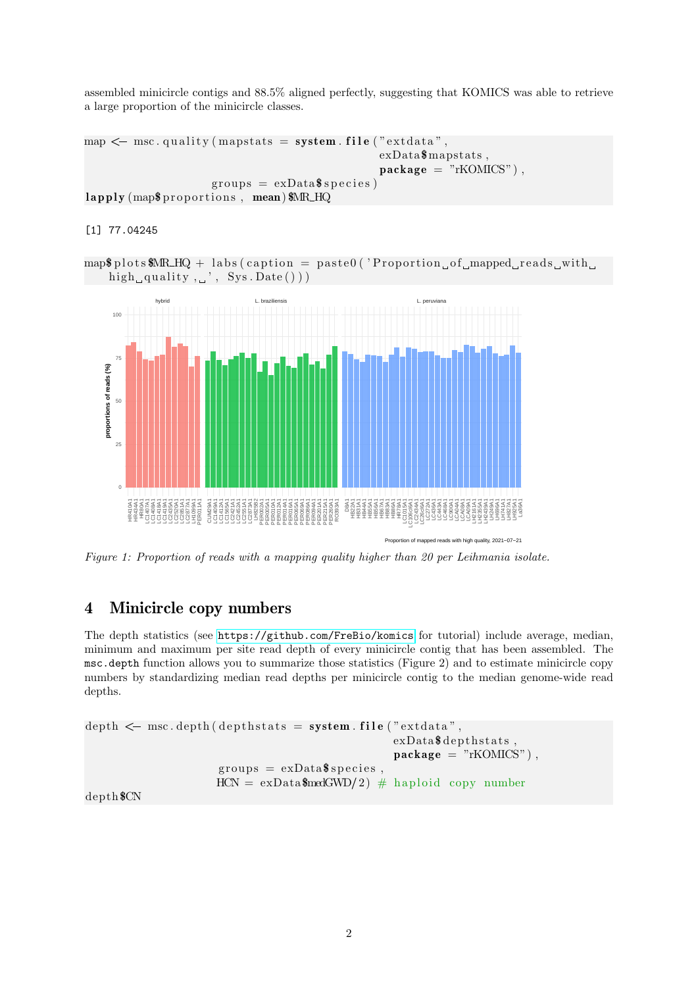assembled minicircle contigs and 88.5% aligned perfectly, suggesting that KOMICS was able to retrieve a large proportion of the minicircle classes.

```
map \leq msc. quality (mapstats = system. file ("extdata",
                                              exData$mapstats ,
                                              package = "rKOMICS"),
                    groups = exData$$ species)lapply (map$ proportions, mean) $MR_HQ
```
[1] 77.04245

 $map$ \$ p l o t s \$MR\_HQ + labs (caption = paste0 ('Proportion of mapped reads with high quality,  $\cdot$  , Sys. Date ())



Figure 1: Proportion of reads with a mapping quality higher than 20 per Leihmania isolate.

#### 4 Minicircle copy numbers

The depth statistics (see <https://github.com/FreBio/komics> for tutorial) include average, median, minimum and maximum per site read depth of every minicircle contig that has been assembled. The msc.depth function allows you to summarize those statistics (Figure 2) and to estimate minicircle copy numbers by standardizing median read depths per minicircle contig to the median genome-wide read depths. minimum and maximum per site read depth of every minicircle contig t.<br>msc.depth function allows you to summarize those statistics (Figure 2) an<br>numbers by standardizing median read depths per minicircle contig to t<br>depths.

```
exData\$ depths.package = "rKOMICS"),
groups = exData$$ species,
HCN = \exp(\text{atanSmodGWD}/2) + \text{harmonic}
```
depth\$CN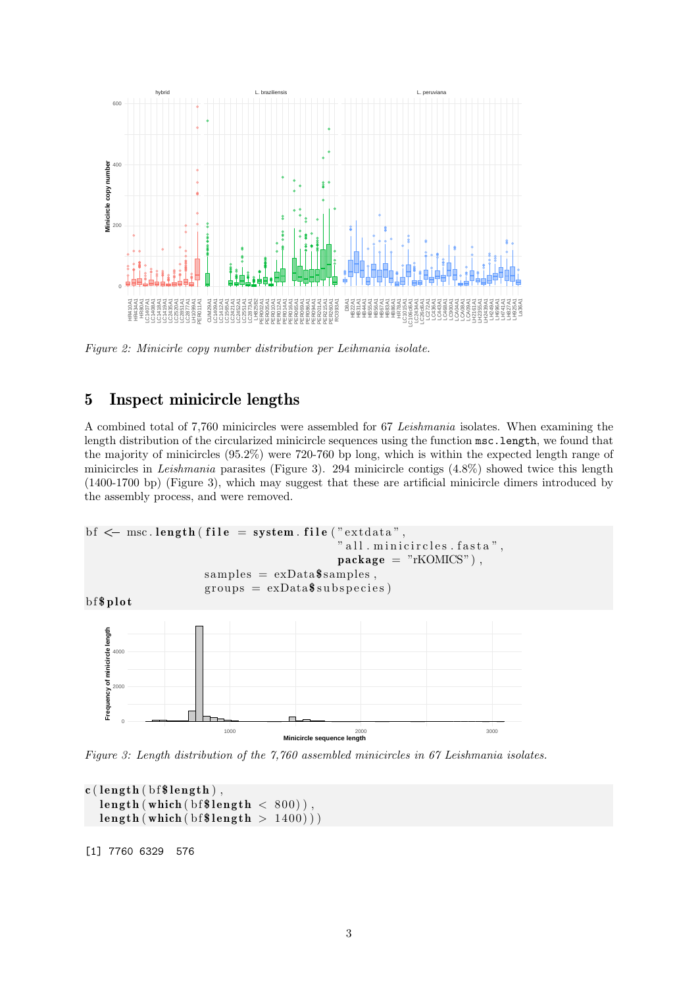

Figure 2: Minicirle copy number distribution per Leihmania isolate.

## 5 Inspect minicircle lengths

A combined total of 7,760 minicircles were assembled for 67 Leishmania isolates. When examining the length distribution of the circularized minicircle sequences using the function msc.length, we found that the majority of minicircles (95.2%) were 720-760 bp long, which is within the expected length range of minicircles in Leishmania parasites (Figure 3). 294 minicircle contigs (4.8%) showed twice this length (1400-1700 bp) (Figure 3), which may suggest that these are artificial minicircle dimers introduced by the assembly process, and were removed.



Figure 3: Length distribution of the 7,760 assembled minicircles in 67 Leishmania isolates.

```
c (length (bf$length),
  length (which (bf$ length < 800)),
  \text{length} ( which ( b f \text{length} > 1400 ) )
```
[1] 7760 6329 576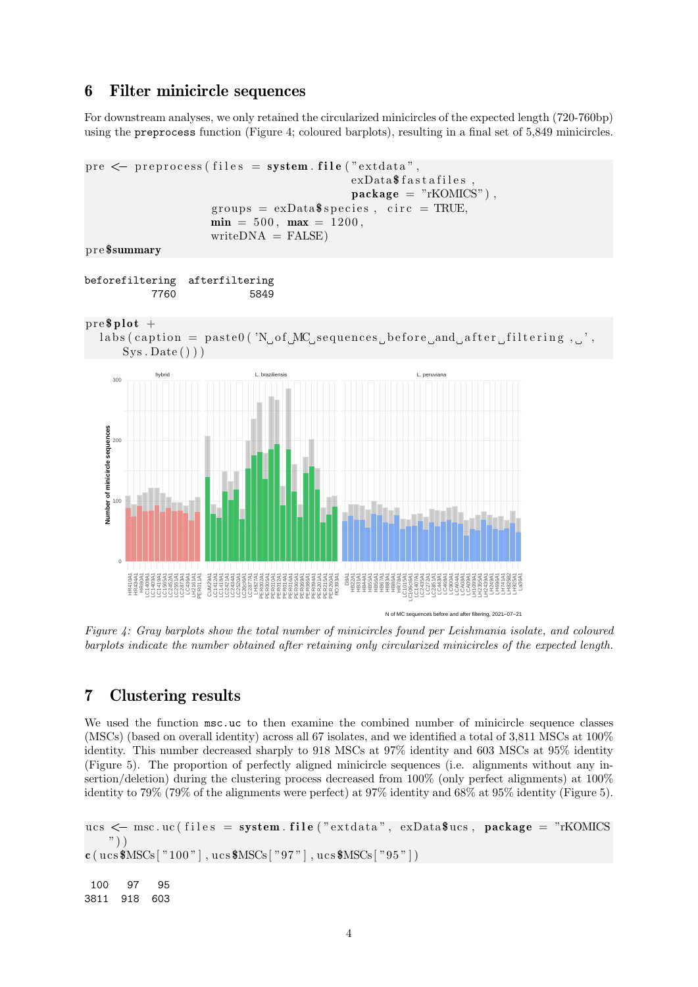## 6 Filter minicircle sequences

For downstream analyses, we only retained the circularized minicircles of the expected length (720-760bp) using the preprocess function (Figure 4; coloured barplots), resulting in a final set of 5,849 minicircles.

```
pre \leq preprocess (files = system. file ("extdata",
                                    exData$ fastafiles.
                                    package = "rKOMICS"),
                 groups = exData\min = 500, max = 1200,writeDNA = FALSE)
p re $summary
```

```
beforefiltering afterfiltering
        7760 5849
```
 $pre$ \$ plot +

```
\text{labels} (caption = paste0 ('N, of MC sequences before and after filtering,
   Sys.Date()
```


Figure 4: Gray barplots show the total number of minicircles found per Leishmania isolate, and coloured barplots indicate the number obtained after retaining only circularized minicircles of the expected length.

## 7 Clustering results

We used the function  $msc.uc$  to then examine the combined number of minicircle sequence classes (MSCs) (based on overall identity) across all 67 isolates, and we identified a total of 3,811 MSCs at 100% identity. This number decreased sharply to 918 MSCs at 97% identity and 603 MSCs at 95% identity (Figure 5). The proportion of perfectly aligned minicircle sequences (i.e. alignments without any insertion/deletion) during the clustering process decreased from 100% (only perfect alignments) at 100% identity to 79% (79% of the alignments were perfect) at 97% identity and 68% at 95% identity (Figure 5).

```
ucs \leq msc.uc (files = system.file ("ext data", exData $ucs, package = "rKOMICS
   ") )
c ( ucs MSCs [ "100" ], ucs MSCs [ "97"], ucs MSCs [ "95"])
100 97 95
3811 918 603
```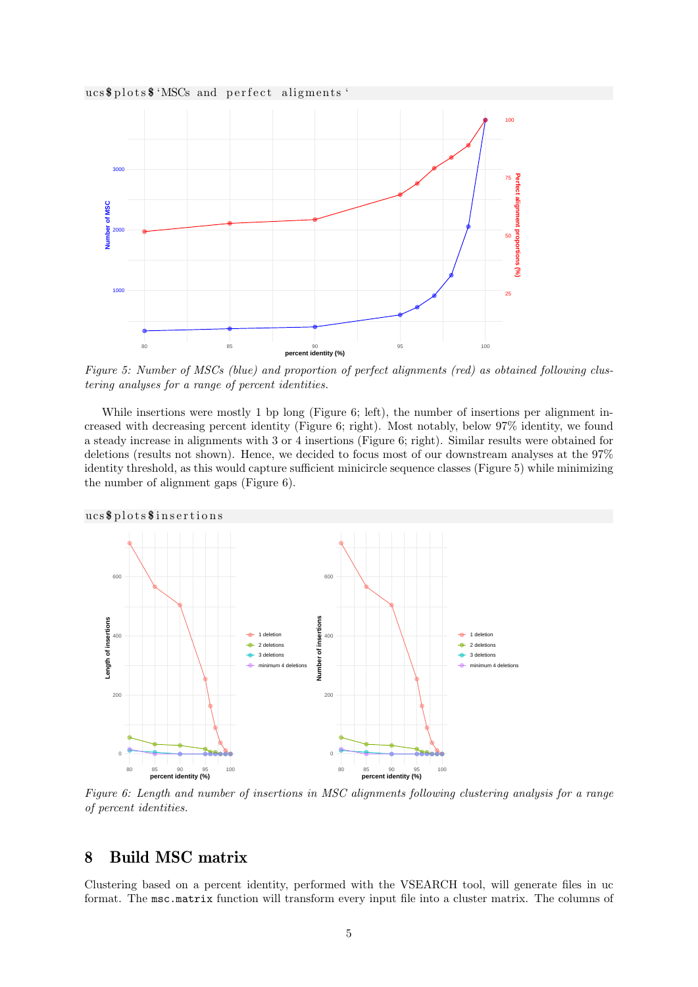



Figure 5: Number of MSCs (blue) and proportion of perfect alignments (red) as obtained following clustering analyses for a range of percent identities.

While insertions were mostly 1 bp long (Figure 6; left), the number of insertions per alignment increased with decreasing percent identity (Figure 6; right). Most notably, below 97% identity, we found a steady increase in alignments with 3 or 4 insertions (Figure 6; right). Similar results were obtained for deletions (results not shown). Hence, we decided to focus most of our downstream analyses at the 97% identity threshold, as this would capture sufficient minicircle sequence classes (Figure 5) while minimizing the number of alignment gaps (Figure 6).



Figure 6: Length and number of insertions in MSC alignments following clustering analysis for a range of percent identities.

### 8 Build MSC matrix

Clustering based on a percent identity, performed with the VSEARCH tool, will generate files in uc format. The msc.matrix function will transform every input file into a cluster matrix. The columns of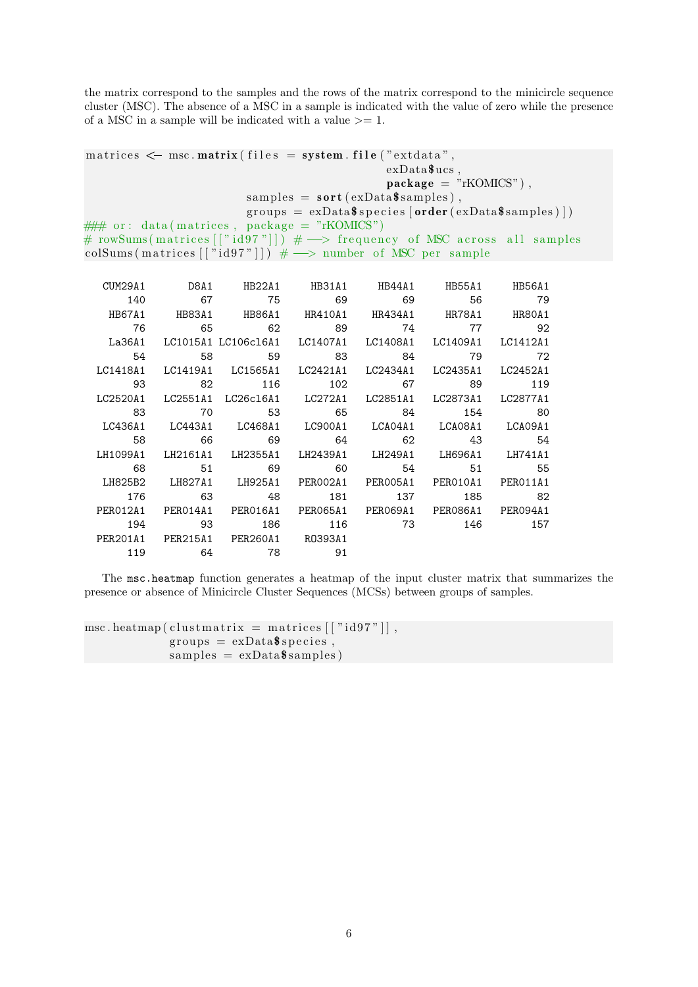the matrix correspond to the samples and the rows of the matrix correspond to the minicircle sequence cluster (MSC). The absence of a MSC in a sample is indicated with the value of zero while the presence of a MSC in a sample will be indicated with a value  $\geq 1$ . the matrix correspond to the samples and the rows of the matrix correspondent in the reductor (MSC). The absence of a MSC in a sample is indicated with the of a MSC in a sample will be indicated with a value  $>= 1$ .<br>matric

```
exData$ucs ,
                                                 package = "rKOMICS"),
                          samples = sort(exData\$ samples),groups = exData$ species [order (exData$ samples)]\# \# or: data (matrices, package = "rKOMICS")
# rowSums(matrices[["id97"]]) \# \longrightarrow frequency of MSC across all samples
colSums (matrices [["id97"]]) # \longrightarrow number of MSC per sample
```

| CUM29A1  |    | D8A1 HB22A1 HB31A1 HB44A1                                      |     |     |                | HB55A1 HB56A1 |
|----------|----|----------------------------------------------------------------|-----|-----|----------------|---------------|
| 140      | 67 | 75                                                             |     |     | 69 69 56 79    |               |
| HB67A1   |    |                                                                |     |     |                |               |
| 76       |    | 65 62 89 74 77 92                                              |     |     |                |               |
| La36A1   |    | LC1015A1 LC106c16A1 LC1407A1 LC1408A1 LC1409A1 LC1412A1        |     |     |                |               |
| 54       | 58 |                                                                |     |     | 59 83 84 79 72 |               |
| LC1418A1 |    | LC1419A1 LC1565A1 LC2421A1 LC2434A1 LC2435A1 LC2452A1          |     |     |                |               |
| 93       |    | 82 116 102 67                                                  |     |     |                | 89 119        |
| LC2520A1 |    | LC2551A1 LC26c16A1 LC272A1 LC2851A1 LC2873A1 LC2877A1          |     |     |                |               |
| 83       |    | 70 53 65 84 154 80                                             |     |     |                |               |
|          |    | LC436A1 LC443A1 LC468A1 LC900A1 LCA04A1 LCA08A1 LCA09A1        |     |     |                |               |
| 58       |    | 66     69     64     62     43     54                          |     |     |                |               |
|          |    | LH1099A1 LH2161A1 LH2355A1 LH2439A1 LH249A1 LH696A1 LH741A1    |     |     |                |               |
| 68       |    | 51 69                                                          |     |     | 60 54 51 55    |               |
|          |    | LH825B2 LH827A1 LH925A1 PERO02A1 PERO05A1 PERO10A1 PERO11A1    |     |     |                |               |
| 176      |    | 63 48                                                          | 181 | 137 | 185 82         |               |
|          |    | PER012A1 PER014A1 PER016A1 PER065A1 PER069A1 PER086A1 PER094A1 |     |     |                |               |
| 194      |    | 93 186 116 73 146 157                                          |     |     |                |               |
|          |    | PER201A1 PER215A1 PER260A1 R0393A1                             |     |     |                |               |
| 119      |    | 64 78                                                          | 91  |     |                |               |

The msc.heatmap function generates a heatmap of the input cluster matrix that summarizes the presence or absence of Minicircle Cluster Sequences (MCSs) between groups of samples.

```
\text{msc}\text{.} \text{heatmap}\left(\text{clustmatrix}\text{ = matrices}\left[\left[\text{"id97"}\right]\right],\right.groups = exData$$ species,
                      samples = exData$ samples)
```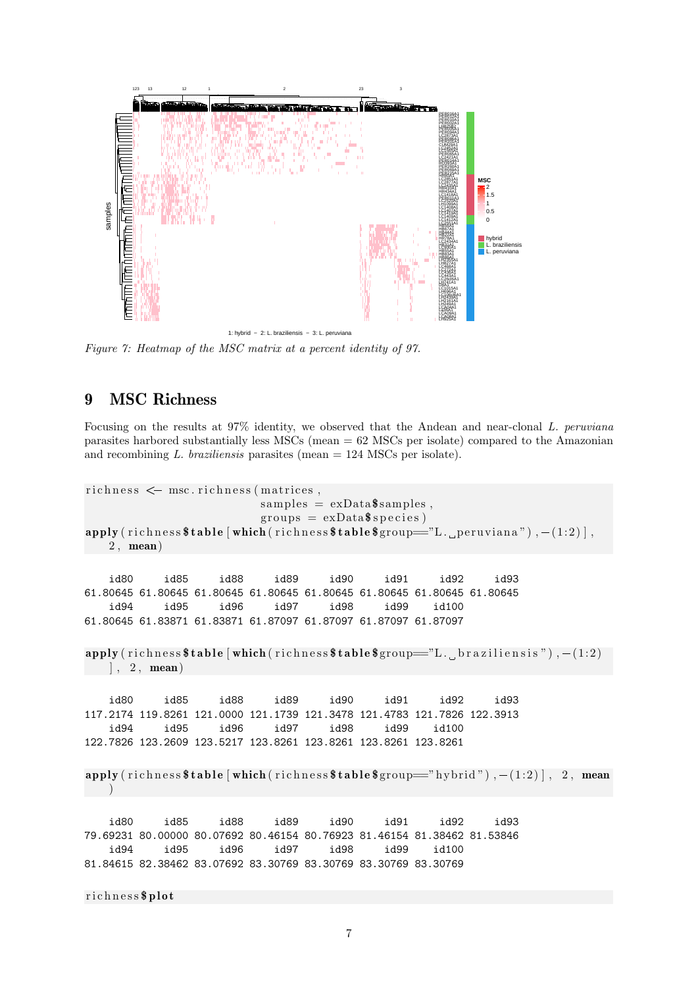

Figure 7: Heatmap of the MSC matrix at a percent identity of 97.

## 9 MSC Richness

Focusing on the results at 97% identity, we observed that the Andean and near-clonal L. peruviana parasites harbored substantially less MSCs (mean = 62 MSCs per isolate) compared to the Amazonian and recombining  $L$ . *braziliensis* parasites (mean  $= 124$  MSCs per isolate). Focusing on the results at 97% identity, we<br>parasites harbored substantially less MSCs (m<br>and recombining  $L.$  braziliensis parasites (mearichness  $\leq$  msc. richness (matrices,

```
samples = exData$ samples,
                          groups = exData\$ species)\texttt{apply} (richness \texttt{stable} [which (richness \texttt{stable}\group="L. peruviana"), -(1:2)],
   2 , mean)
   id80 id85 id88 id89 id90 id91 id92 id93
61.80645 61.80645 61.80645 61.80645 61.80645 61.80645 61.80645 61.80645
   id94 id95 id96 id97 id98 id99 id100
61.80645 61.83871 61.83871 61.87097 61.87097 61.87097 61.87097
\text{apply} (richness \text{stable} [which (richness \text{stable}\group="L. braziliensis"), -(1:2)
 ], 2, mean)id80 id85 id88 id89 id90 id91 id92 id93
117.2174 119.8261 121.0000 121.1739 121.3478 121.4783 121.7826 122.3913
   id94 id95 id96 id97 id98 id99 id100
122.7826 123.2609 123.5217 123.8261 123.8261 123.8261 123.8261
apply (richness \ table [\text{which}(\text{richness} \ table \text{group} == \text{"hybrid"}), -(1:2)], 2, mean
   )
   id80 id85 id88 id89 id90 id91 id92 id93
79.69231 80.00000 80.07692 80.46154 80.76923 81.46154 81.38462 81.53846
   id94 id95 id96 id97 id98 id99 id100
81.84615 82.38462 83.07692 83.30769 83.30769 83.30769 83.30769
```
richness\$plot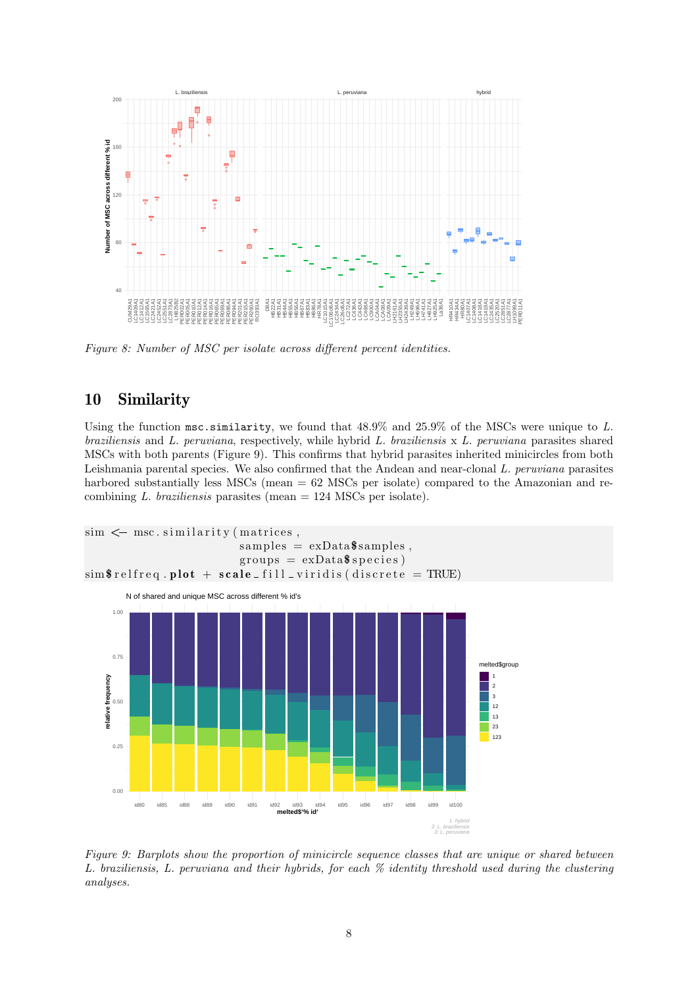

Figure 8: Number of MSC per isolate across different percent identities.

# 10 Similarity

Using the function msc.similarity, we found that  $48.9\%$  and  $25.9\%$  of the MSCs were unique to L. braziliensis and L. peruviana, respectively, while hybrid L. braziliensis x L. peruviana parasites shared MSCs with both parents (Figure 9). This confirms that hybrid parasites inherited minicircles from both Leishmania parental species. We also confirmed that the Andean and near-clonal L. peruviana parasites harbored substantially less MSCs (mean = 62 MSCs per isolate) compared to the Amazonian and recombining  $L$ . *braziliensis* parasites (mean  $= 124$  MSCs per isolate).



Figure 9: Barplots show the proportion of minicircle sequence classes that are unique or shared between L. braziliensis, L. peruviana and their hybrids, for each % identity threshold used during the clustering analyses.